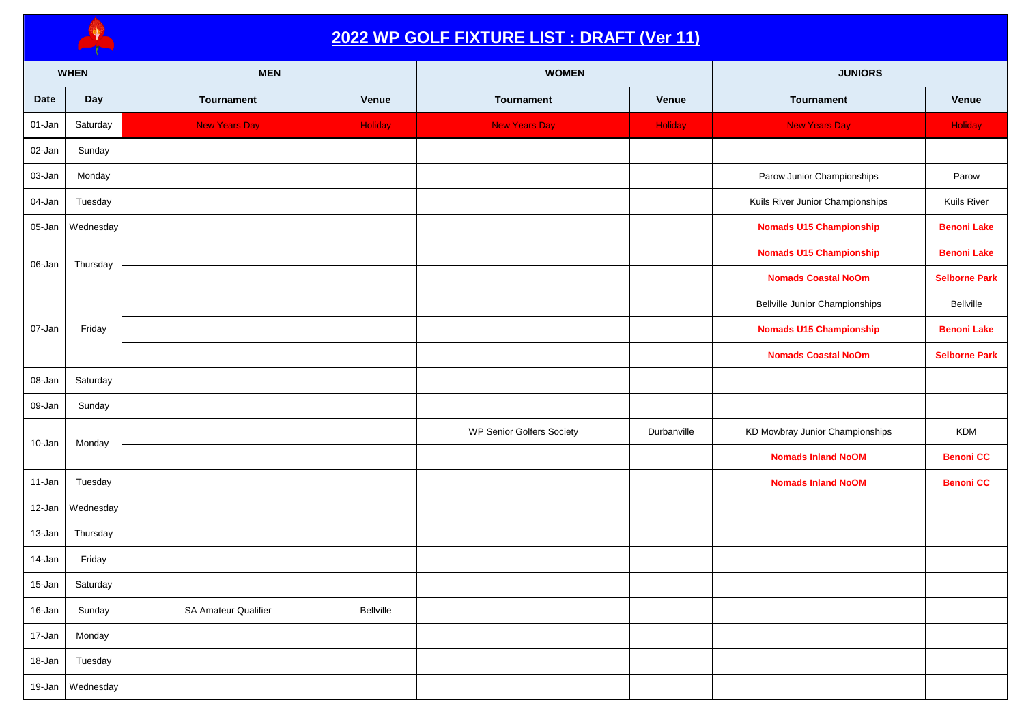

## **2022 WP GOLF FIXTURE LIST : DRAFT (Ver 11)**

|             | <b>WHEN</b> | <b>MEN</b>           |           | <b>WOMEN</b>                     |                | <b>JUNIORS</b>                        |                      |
|-------------|-------------|----------------------|-----------|----------------------------------|----------------|---------------------------------------|----------------------|
| <b>Date</b> | Day         | Tournament           | Venue     | Tournament                       | Venue          | Tournament                            | Venue                |
| 01-Jan      | Saturday    | <b>New Years Day</b> | Holiday   | <b>New Years Day</b>             | <b>Holiday</b> | <b>New Years Day</b>                  | Holiday              |
| 02-Jan      | Sunday      |                      |           |                                  |                |                                       |                      |
| 03-Jan      | Monday      |                      |           |                                  |                | Parow Junior Championships            | Parow                |
| 04-Jan      | Tuesday     |                      |           |                                  |                | Kuils River Junior Championships      | Kuils River          |
| 05-Jan      | Wednesday   |                      |           |                                  |                | <b>Nomads U15 Championship</b>        | <b>Benoni Lake</b>   |
| 06-Jan      | Thursday    |                      |           |                                  |                | <b>Nomads U15 Championship</b>        | <b>Benoni Lake</b>   |
|             |             |                      |           |                                  |                | <b>Nomads Coastal NoOm</b>            | <b>Selborne Park</b> |
|             |             |                      |           |                                  |                | <b>Bellville Junior Championships</b> | Bellville            |
| 07-Jan      | Friday      |                      |           |                                  |                | <b>Nomads U15 Championship</b>        | <b>Benoni Lake</b>   |
|             |             |                      |           |                                  |                | <b>Nomads Coastal NoOm</b>            | <b>Selborne Park</b> |
| 08-Jan      | Saturday    |                      |           |                                  |                |                                       |                      |
| 09-Jan      | Sunday      |                      |           |                                  |                |                                       |                      |
| 10-Jan      | Monday      |                      |           | <b>WP Senior Golfers Society</b> | Durbanville    | KD Mowbray Junior Championships       | <b>KDM</b>           |
|             |             |                      |           |                                  |                | <b>Nomads Inland NoOM</b>             | <b>Benoni CC</b>     |
| 11-Jan      | Tuesday     |                      |           |                                  |                | <b>Nomads Inland NoOM</b>             | <b>Benoni CC</b>     |
| 12-Jan      | Wednesday   |                      |           |                                  |                |                                       |                      |
| 13-Jan      | Thursday    |                      |           |                                  |                |                                       |                      |
| 14-Jan      | Friday      |                      |           |                                  |                |                                       |                      |
| 15-Jan      | Saturday    |                      |           |                                  |                |                                       |                      |
| 16-Jan      | Sunday      | SA Amateur Qualifier | Bellville |                                  |                |                                       |                      |
| 17-Jan      | Monday      |                      |           |                                  |                |                                       |                      |
| 18-Jan      | Tuesday     |                      |           |                                  |                |                                       |                      |
| $19$ -Jan   | Wednesday   |                      |           |                                  |                |                                       |                      |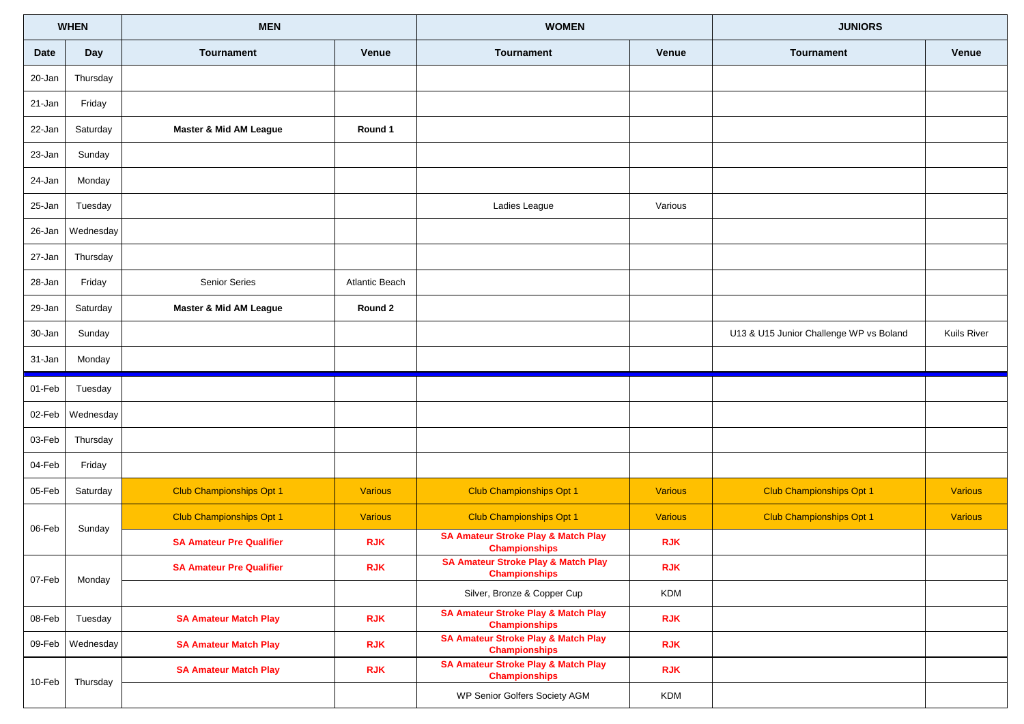| <b>WHEN</b> |                  | <b>MEN</b>                      |                       | <b>WOMEN</b>                                                           |                | <b>JUNIORS</b>                          |                |
|-------------|------------------|---------------------------------|-----------------------|------------------------------------------------------------------------|----------------|-----------------------------------------|----------------|
| Date        | Day              | <b>Tournament</b>               | Venue                 | <b>Tournament</b>                                                      | Venue          | <b>Tournament</b>                       | <b>Venue</b>   |
| 20-Jan      | Thursday         |                                 |                       |                                                                        |                |                                         |                |
| 21-Jan      | Friday           |                                 |                       |                                                                        |                |                                         |                |
| 22-Jan      | Saturday         | Master & Mid AM League          | Round 1               |                                                                        |                |                                         |                |
| 23-Jan      | Sunday           |                                 |                       |                                                                        |                |                                         |                |
| 24-Jan      | Monday           |                                 |                       |                                                                        |                |                                         |                |
| 25-Jan      | Tuesday          |                                 |                       | Ladies League                                                          | Various        |                                         |                |
| 26-Jan      | Wednesday        |                                 |                       |                                                                        |                |                                         |                |
| 27-Jan      | Thursday         |                                 |                       |                                                                        |                |                                         |                |
| 28-Jan      | Friday           | Senior Series                   | <b>Atlantic Beach</b> |                                                                        |                |                                         |                |
| 29-Jan      | Saturday         | Master & Mid AM League          | Round 2               |                                                                        |                |                                         |                |
| 30-Jan      | Sunday           |                                 |                       |                                                                        |                | U13 & U15 Junior Challenge WP vs Boland | Kuils River    |
| 31-Jan      | Monday           |                                 |                       |                                                                        |                |                                         |                |
|             |                  |                                 |                       |                                                                        |                |                                         |                |
| 01-Feb      | Tuesday          |                                 |                       |                                                                        |                |                                         |                |
| 02-Feb      | Wednesday        |                                 |                       |                                                                        |                |                                         |                |
| 03-Feb      | Thursday         |                                 |                       |                                                                        |                |                                         |                |
| 04-Feb      | Friday           |                                 |                       |                                                                        |                |                                         |                |
| 05-Feb      | Saturday         | <b>Club Championships Opt 1</b> | <b>Various</b>        | <b>Club Championships Opt 1</b>                                        | <b>Various</b> | <b>Club Championships Opt 1</b>         | <b>Various</b> |
|             |                  | <b>Club Championships Opt 1</b> | <b>Various</b>        | <b>Club Championships Opt 1</b>                                        | <b>Various</b> | <b>Club Championships Opt 1</b>         | <b>Various</b> |
| 06-Feb      | Sunday           | <b>SA Amateur Pre Qualifier</b> | <b>RJK</b>            | <b>SA Amateur Stroke Play &amp; Match Play</b><br><b>Championships</b> | <b>RJK</b>     |                                         |                |
|             |                  | <b>SA Amateur Pre Qualifier</b> | <b>RJK</b>            | <b>SA Amateur Stroke Play &amp; Match Play</b><br><b>Championships</b> | <b>RJK</b>     |                                         |                |
| 07-Feb      | Monday           |                                 |                       | Silver, Bronze & Copper Cup                                            | <b>KDM</b>     |                                         |                |
| 08-Feb      | Tuesday          | <b>SA Amateur Match Play</b>    | <b>RJK</b>            | <b>SA Amateur Stroke Play &amp; Match Play</b><br><b>Championships</b> | <b>RJK</b>     |                                         |                |
|             | 09-Feb Wednesday | <b>SA Amateur Match Play</b>    | <b>RJK</b>            | <b>SA Amateur Stroke Play &amp; Match Play</b><br><b>Championships</b> | <b>RJK</b>     |                                         |                |
| 10-Feb      | Thursday         | <b>SA Amateur Match Play</b>    | <b>RJK</b>            | <b>SA Amateur Stroke Play &amp; Match Play</b><br><b>Championships</b> | <b>RJK</b>     |                                         |                |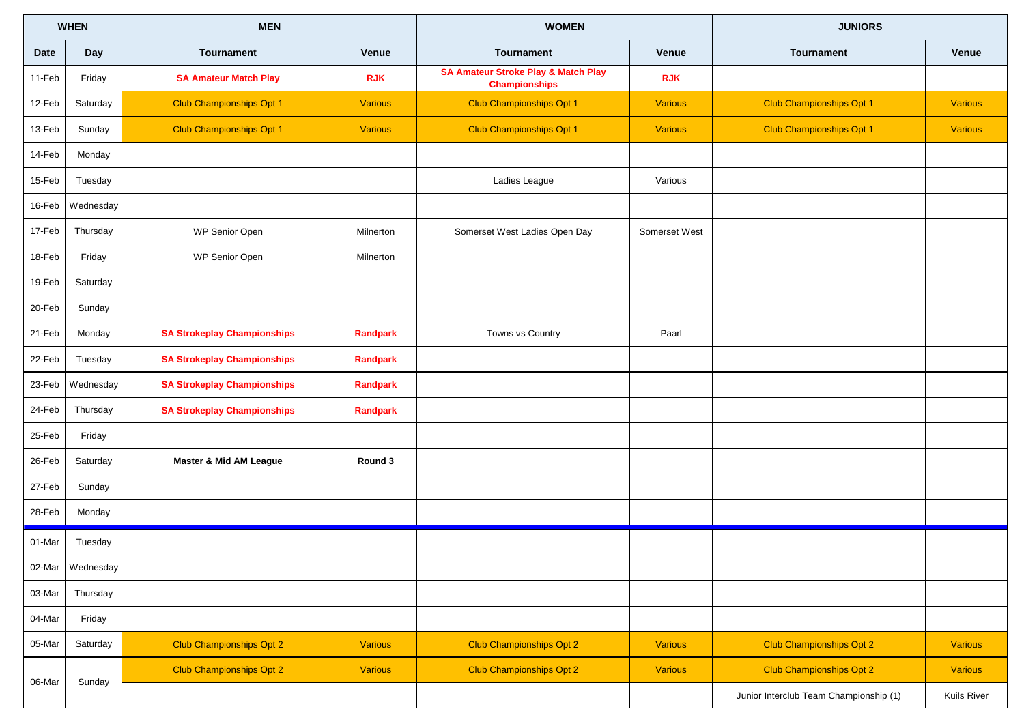| <b>WHEN</b> |           | <b>MEN</b>                         |                | <b>WOMEN</b>                                                           |                | <b>JUNIORS</b>                         |                |
|-------------|-----------|------------------------------------|----------------|------------------------------------------------------------------------|----------------|----------------------------------------|----------------|
| <b>Date</b> | Day       | <b>Tournament</b>                  | <b>Venue</b>   | <b>Tournament</b>                                                      | Venue          | Tournament                             | <b>Venue</b>   |
| 11-Feb      | Friday    | <b>SA Amateur Match Play</b>       | <b>RJK</b>     | <b>SA Amateur Stroke Play &amp; Match Play</b><br><b>Championships</b> | <b>RJK</b>     |                                        |                |
| 12-Feb      | Saturday  | <b>Club Championships Opt 1</b>    | <b>Various</b> | <b>Club Championships Opt 1</b>                                        | <b>Various</b> | <b>Club Championships Opt 1</b>        | <b>Various</b> |
| 13-Feb      | Sunday    | <b>Club Championships Opt 1</b>    | <b>Various</b> | <b>Club Championships Opt 1</b>                                        | <b>Various</b> | <b>Club Championships Opt 1</b>        | <b>Various</b> |
| 14-Feb      | Monday    |                                    |                |                                                                        |                |                                        |                |
| 15-Feb      | Tuesday   |                                    |                | Ladies League                                                          | Various        |                                        |                |
| 16-Feb      | Wednesday |                                    |                |                                                                        |                |                                        |                |
| 17-Feb      | Thursday  | WP Senior Open                     | Milnerton      | Somerset West Ladies Open Day                                          | Somerset West  |                                        |                |
| 18-Feb      | Friday    | WP Senior Open                     | Milnerton      |                                                                        |                |                                        |                |
| 19-Feb      | Saturday  |                                    |                |                                                                        |                |                                        |                |
| 20-Feb      | Sunday    |                                    |                |                                                                        |                |                                        |                |
| 21-Feb      | Monday    | <b>SA Strokeplay Championships</b> | Randpark       | Towns vs Country                                                       | Paarl          |                                        |                |
| 22-Feb      | Tuesday   | <b>SA Strokeplay Championships</b> | Randpark       |                                                                        |                |                                        |                |
| 23-Feb      | Wednesday | <b>SA Strokeplay Championships</b> | Randpark       |                                                                        |                |                                        |                |
| 24-Feb      | Thursday  | <b>SA Strokeplay Championships</b> | Randpark       |                                                                        |                |                                        |                |
| 25-Feb      | Friday    |                                    |                |                                                                        |                |                                        |                |
| 26-Feb      | Saturday  | Master & Mid AM League             | Round 3        |                                                                        |                |                                        |                |
| 27-Feb      | Sunday    |                                    |                |                                                                        |                |                                        |                |
| 28-Feb      | Monday    |                                    |                |                                                                        |                |                                        |                |
| 01-Mar      | Tuesday   |                                    |                |                                                                        |                |                                        |                |
| 02-Mar      | Wednesday |                                    |                |                                                                        |                |                                        |                |
| 03-Mar      | Thursday  |                                    |                |                                                                        |                |                                        |                |
| 04-Mar      | Friday    |                                    |                |                                                                        |                |                                        |                |
| 05-Mar      | Saturday  | <b>Club Championships Opt 2</b>    | Various        | <b>Club Championships Opt 2</b>                                        | <b>Various</b> | <b>Club Championships Opt 2</b>        | Various        |
| 06-Mar      | Sunday    | Club Championships Opt 2           | <b>Various</b> | Club Championships Opt 2                                               | <b>Various</b> | <b>Club Championships Opt 2</b>        | <b>Various</b> |
|             |           |                                    |                |                                                                        |                | Junior Interclub Team Championship (1) | Kuils River    |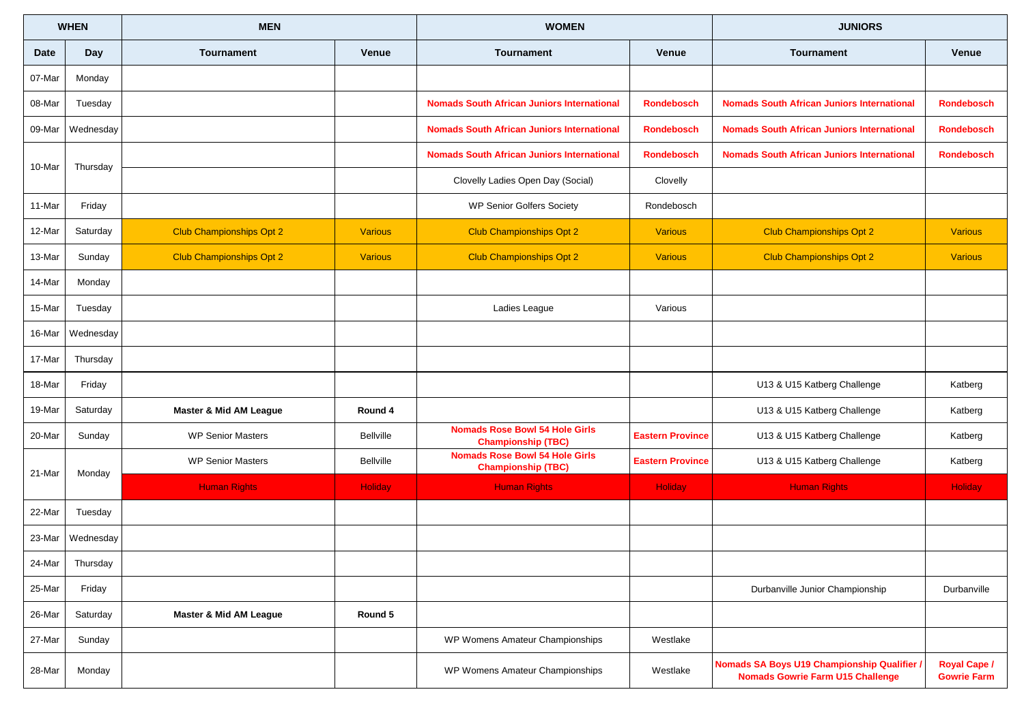|             | <b>WHEN</b> | <b>MEN</b>                      |                  | <b>WOMEN</b>                                                       |                         | <b>JUNIORS</b>                                                                         |                                           |
|-------------|-------------|---------------------------------|------------------|--------------------------------------------------------------------|-------------------------|----------------------------------------------------------------------------------------|-------------------------------------------|
| <b>Date</b> | Day         | <b>Tournament</b>               | <b>Venue</b>     | <b>Tournament</b>                                                  | Venue                   | <b>Tournament</b>                                                                      | Venue                                     |
| 07-Mar      | Monday      |                                 |                  |                                                                    |                         |                                                                                        |                                           |
| 08-Mar      | Tuesday     |                                 |                  | <b>Nomads South African Juniors International</b>                  | <b>Rondebosch</b>       | <b>Nomads South African Juniors International</b>                                      | <b>Rondebosch</b>                         |
| 09-Mar      | Wednesday   |                                 |                  | <b>Nomads South African Juniors International</b>                  | <b>Rondebosch</b>       | <b>Nomads South African Juniors International</b>                                      | <b>Rondebosch</b>                         |
| 10-Mar      | Thursday    |                                 |                  | <b>Nomads South African Juniors International</b>                  | <b>Rondebosch</b>       | <b>Nomads South African Juniors International</b>                                      | <b>Rondebosch</b>                         |
|             |             |                                 |                  | Clovelly Ladies Open Day (Social)                                  | Clovelly                |                                                                                        |                                           |
| 11-Mar      | Friday      |                                 |                  | <b>WP Senior Golfers Society</b>                                   | Rondebosch              |                                                                                        |                                           |
| 12-Mar      | Saturday    | <b>Club Championships Opt 2</b> | <b>Various</b>   | <b>Club Championships Opt 2</b>                                    | <b>Various</b>          | <b>Club Championships Opt 2</b>                                                        | <b>Various</b>                            |
| 13-Mar      | Sunday      | <b>Club Championships Opt 2</b> | <b>Various</b>   | <b>Club Championships Opt 2</b>                                    | <b>Various</b>          | <b>Club Championships Opt 2</b>                                                        | <b>Various</b>                            |
| 14-Mar      | Monday      |                                 |                  |                                                                    |                         |                                                                                        |                                           |
| 15-Mar      | Tuesday     |                                 |                  | Ladies League                                                      | Various                 |                                                                                        |                                           |
| 16-Mar      | Wednesday   |                                 |                  |                                                                    |                         |                                                                                        |                                           |
| 17-Mar      | Thursday    |                                 |                  |                                                                    |                         |                                                                                        |                                           |
| 18-Mar      | Friday      |                                 |                  |                                                                    |                         | U13 & U15 Katberg Challenge                                                            | Katberg                                   |
| 19-Mar      | Saturday    | Master & Mid AM League          | Round 4          |                                                                    |                         | U13 & U15 Katberg Challenge                                                            | Katberg                                   |
| 20-Mar      | Sunday      | <b>WP Senior Masters</b>        | <b>Bellville</b> | <b>Nomads Rose Bowl 54 Hole Girls</b><br><b>Championship (TBC)</b> | <b>Eastern Province</b> | U13 & U15 Katberg Challenge                                                            | Katberg                                   |
| 21-Mar      | Monday      | <b>WP Senior Masters</b>        | <b>Bellville</b> | <b>Nomads Rose Bowl 54 Hole Girls</b><br><b>Championship (TBC)</b> | <b>Eastern Province</b> | U13 & U15 Katberg Challenge                                                            | Katberg                                   |
|             |             | <b>Human Rights</b>             | <b>Holiday</b>   | <b>Human Rights</b>                                                | Holiday                 | <b>Human Rights</b>                                                                    | Holiday                                   |
| 22-Mar      | Tuesday     |                                 |                  |                                                                    |                         |                                                                                        |                                           |
| 23-Mar      | Wednesday   |                                 |                  |                                                                    |                         |                                                                                        |                                           |
| 24-Mar      | Thursday    |                                 |                  |                                                                    |                         |                                                                                        |                                           |
| 25-Mar      | Friday      |                                 |                  |                                                                    |                         | Durbanville Junior Championship                                                        | Durbanville                               |
| 26-Mar      | Saturday    | Master & Mid AM League          | Round 5          |                                                                    |                         |                                                                                        |                                           |
| 27-Mar      | Sunday      |                                 |                  | WP Womens Amateur Championships                                    | Westlake                |                                                                                        |                                           |
| 28-Mar      | Monday      |                                 |                  | WP Womens Amateur Championships                                    | Westlake                | Nomads SA Boys U19 Championship Qualifier /<br><b>Nomads Gowrie Farm U15 Challenge</b> | <b>Royal Cape /</b><br><b>Gowrie Farm</b> |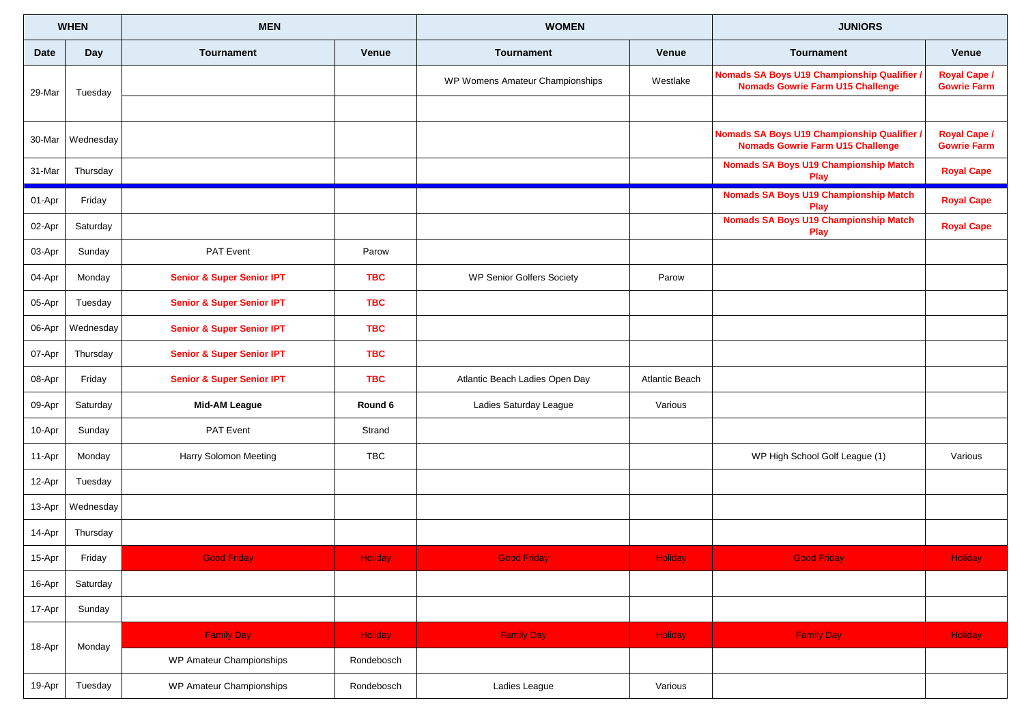|        | <b>WHEN</b> | <b>MEN</b>                           |                | <b>WOMEN</b>                     |                | <b>JUNIORS</b>                                                                         |                                           |
|--------|-------------|--------------------------------------|----------------|----------------------------------|----------------|----------------------------------------------------------------------------------------|-------------------------------------------|
| Date   | Day         | <b>Tournament</b>                    | <b>Venue</b>   | <b>Tournament</b>                | <b>Venue</b>   | <b>Tournament</b>                                                                      | Venue                                     |
| 29-Mar | Tuesday     |                                      |                | WP Womens Amateur Championships  | Westlake       | Nomads SA Boys U19 Championship Qualifier /<br><b>Nomads Gowrie Farm U15 Challenge</b> | Royal Cape /<br><b>Gowrie Farm</b>        |
|        |             |                                      |                |                                  |                |                                                                                        |                                           |
| 30-Mar | Wednesday   |                                      |                |                                  |                | Nomads SA Boys U19 Championship Qualifier /<br><b>Nomads Gowrie Farm U15 Challenge</b> | <b>Royal Cape /</b><br><b>Gowrie Farm</b> |
| 31-Mar | Thursday    |                                      |                |                                  |                | <b>Nomads SA Boys U19 Championship Match</b><br><b>Play</b>                            | <b>Royal Cape</b>                         |
| 01-Apr | Friday      |                                      |                |                                  |                | <b>Nomads SA Boys U19 Championship Match</b><br>Play                                   | <b>Royal Cape</b>                         |
| 02-Apr | Saturday    |                                      |                |                                  |                | <b>Nomads SA Boys U19 Championship Match</b><br><b>Play</b>                            | <b>Royal Cape</b>                         |
| 03-Apr | Sunday      | PAT Event                            | Parow          |                                  |                |                                                                                        |                                           |
| 04-Apr | Monday      | <b>Senior &amp; Super Senior IPT</b> | <b>TBC</b>     | <b>WP Senior Golfers Society</b> | Parow          |                                                                                        |                                           |
| 05-Apr | Tuesday     | <b>Senior &amp; Super Senior IPT</b> | <b>TBC</b>     |                                  |                |                                                                                        |                                           |
| 06-Apr | Wednesday   | <b>Senior &amp; Super Senior IPT</b> | <b>TBC</b>     |                                  |                |                                                                                        |                                           |
| 07-Apr | Thursday    | <b>Senior &amp; Super Senior IPT</b> | <b>TBC</b>     |                                  |                |                                                                                        |                                           |
| 08-Apr | Friday      | <b>Senior &amp; Super Senior IPT</b> | <b>TBC</b>     | Atlantic Beach Ladies Open Day   | Atlantic Beach |                                                                                        |                                           |
| 09-Apr | Saturday    | <b>Mid-AM League</b>                 | Round 6        | Ladies Saturday League           | Various        |                                                                                        |                                           |
| 10-Apr | Sunday      | PAT Event                            | Strand         |                                  |                |                                                                                        |                                           |
| 11-Apr | Monday      | Harry Solomon Meeting                | <b>TBC</b>     |                                  |                | WP High School Golf League (1)                                                         | Various                                   |
| 12-Apr | Tuesday     |                                      |                |                                  |                |                                                                                        |                                           |
| 13-Apr | Wednesday   |                                      |                |                                  |                |                                                                                        |                                           |
| 14-Apr | Thursday    |                                      |                |                                  |                |                                                                                        |                                           |
| 15-Apr | Friday      | <b>Good Friday</b>                   | <b>Holiday</b> | <b>Good Friday</b>               | <b>Holiday</b> | <b>Good Friday</b>                                                                     | <b>Holiday</b>                            |
| 16-Apr | Saturday    |                                      |                |                                  |                |                                                                                        |                                           |
| 17-Apr | Sunday      |                                      |                |                                  |                |                                                                                        |                                           |
|        |             | <b>Family Day</b>                    | <b>Holiday</b> | <b>Family Day</b>                | Holiday        | <b>Family Day</b>                                                                      | <b>Holiday</b>                            |
| 18-Apr | Monday      | WP Amateur Championships             | Rondebosch     |                                  |                |                                                                                        |                                           |
| 19-Apr | Tuesday     | WP Amateur Championships             | Rondebosch     | Ladies League                    | Various        |                                                                                        |                                           |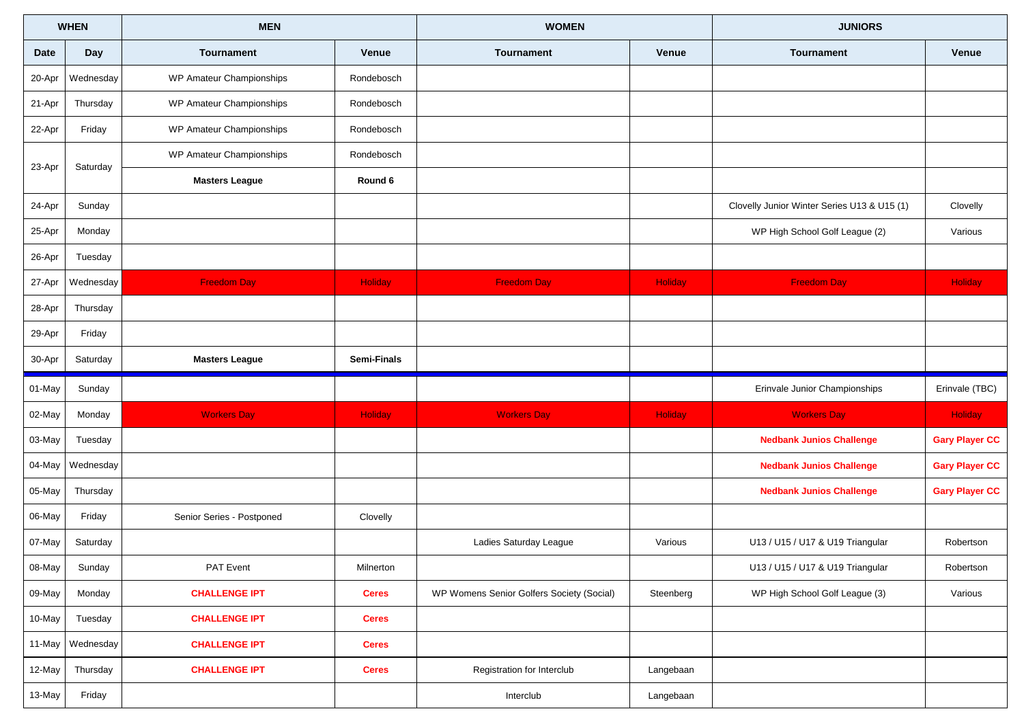| <b>WHEN</b> |           | <b>MEN</b>                |                | <b>WOMEN</b>                              |           |                                             | <b>JUNIORS</b>        |  |
|-------------|-----------|---------------------------|----------------|-------------------------------------------|-----------|---------------------------------------------|-----------------------|--|
| <b>Date</b> | Day       | <b>Tournament</b>         | <b>Venue</b>   | <b>Tournament</b>                         | Venue     | <b>Tournament</b>                           | Venue                 |  |
| 20-Apr      | Wednesday | WP Amateur Championships  | Rondebosch     |                                           |           |                                             |                       |  |
| 21-Apr      | Thursday  | WP Amateur Championships  | Rondebosch     |                                           |           |                                             |                       |  |
| 22-Apr      | Friday    | WP Amateur Championships  | Rondebosch     |                                           |           |                                             |                       |  |
| 23-Apr      | Saturday  | WP Amateur Championships  | Rondebosch     |                                           |           |                                             |                       |  |
|             |           | <b>Masters League</b>     | Round 6        |                                           |           |                                             |                       |  |
| 24-Apr      | Sunday    |                           |                |                                           |           | Clovelly Junior Winter Series U13 & U15 (1) | Clovelly              |  |
| 25-Apr      | Monday    |                           |                |                                           |           | WP High School Golf League (2)              | Various               |  |
| 26-Apr      | Tuesday   |                           |                |                                           |           |                                             |                       |  |
| 27-Apr      | Wednesday | <b>Freedom Day</b>        | <b>Holiday</b> | <b>Freedom Day</b>                        | Holiday   | <b>Freedom Day</b>                          | Holiday               |  |
| 28-Apr      | Thursday  |                           |                |                                           |           |                                             |                       |  |
| 29-Apr      | Friday    |                           |                |                                           |           |                                             |                       |  |
| 30-Apr      | Saturday  | <b>Masters League</b>     | Semi-Finals    |                                           |           |                                             |                       |  |
| 01-May      | Sunday    |                           |                |                                           |           | Erinvale Junior Championships               | Erinvale (TBC)        |  |
| 02-May      | Monday    |                           |                |                                           |           |                                             |                       |  |
|             |           | <b>Workers Day</b>        | <b>Holiday</b> | <b>Workers Day</b>                        | Holiday   | <b>Workers Day</b>                          | Holiday               |  |
| 03-May      | Tuesday   |                           |                |                                           |           | <b>Nedbank Junios Challenge</b>             | <b>Gary Player CC</b> |  |
| 04-May      | Wednesday |                           |                |                                           |           | <b>Nedbank Junios Challenge</b>             | <b>Gary Player CC</b> |  |
| 05-May      | Thursday  |                           |                |                                           |           | <b>Nedbank Junios Challenge</b>             | <b>Gary Player CC</b> |  |
| 06-May      | Friday    | Senior Series - Postponed | Clovelly       |                                           |           |                                             |                       |  |
| 07-May      | Saturday  |                           |                | Ladies Saturday League                    | Various   | U13 / U15 / U17 & U19 Triangular            | Robertson             |  |
| 08-May      | Sunday    | PAT Event                 | Milnerton      |                                           |           | U13 / U15 / U17 & U19 Triangular            | Robertson             |  |
| 09-May      | Monday    | <b>CHALLENGE IPT</b>      | <b>Ceres</b>   | WP Womens Senior Golfers Society (Social) | Steenberg | WP High School Golf League (3)              | Various               |  |
| 10-May      | Tuesday   | <b>CHALLENGE IPT</b>      | <b>Ceres</b>   |                                           |           |                                             |                       |  |
| 11-May      | Wednesday | <b>CHALLENGE IPT</b>      | <b>Ceres</b>   |                                           |           |                                             |                       |  |
| 12-May      | Thursday  | <b>CHALLENGE IPT</b>      | <b>Ceres</b>   | Registration for Interclub                | Langebaan |                                             |                       |  |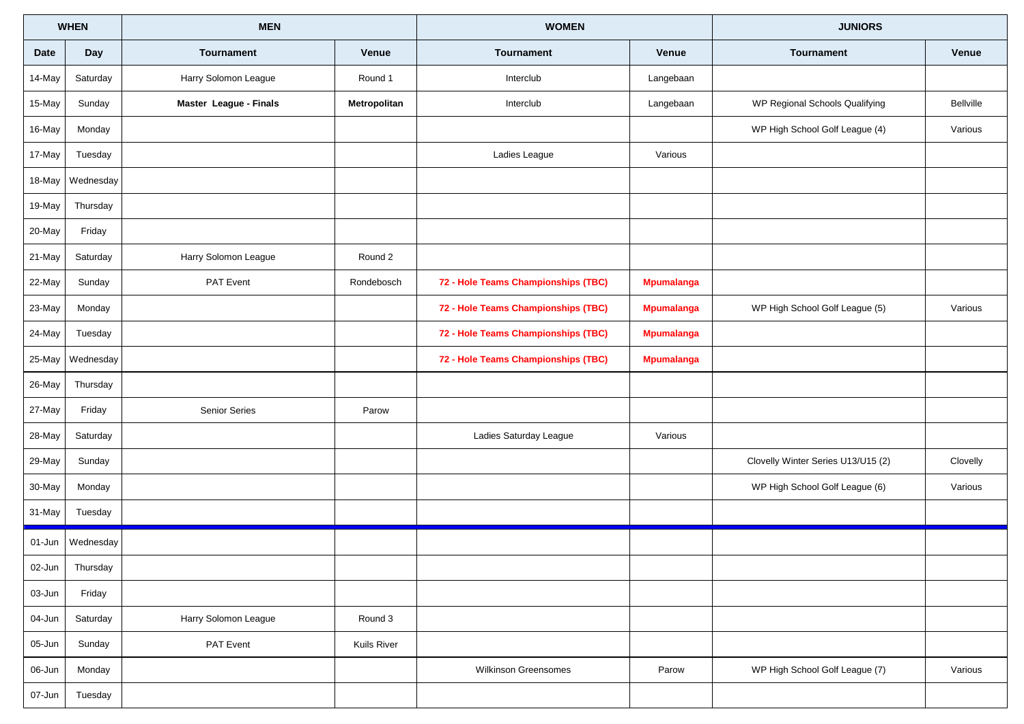| <b>WHEN</b> |           | <b>MEN</b>             |              | <b>WOMEN</b>                        |                   | <b>JUNIORS</b>                     |              |
|-------------|-----------|------------------------|--------------|-------------------------------------|-------------------|------------------------------------|--------------|
| <b>Date</b> | Day       | <b>Tournament</b>      | <b>Venue</b> | <b>Tournament</b>                   | Venue             | <b>Tournament</b>                  | <b>Venue</b> |
| 14-May      | Saturday  | Harry Solomon League   | Round 1      | Interclub                           | Langebaan         |                                    |              |
| 15-May      | Sunday    | Master League - Finals | Metropolitan | Interclub                           | Langebaan         | WP Regional Schools Qualifying     | Bellville    |
| 16-May      | Monday    |                        |              |                                     |                   | WP High School Golf League (4)     | Various      |
| 17-May      | Tuesday   |                        |              | Ladies League                       | Various           |                                    |              |
| 18-May      | Wednesday |                        |              |                                     |                   |                                    |              |
| 19-May      | Thursday  |                        |              |                                     |                   |                                    |              |
| 20-May      | Friday    |                        |              |                                     |                   |                                    |              |
| 21-May      | Saturday  | Harry Solomon League   | Round 2      |                                     |                   |                                    |              |
| 22-May      | Sunday    | <b>PAT Event</b>       | Rondebosch   | 72 - Hole Teams Championships (TBC) | <b>Mpumalanga</b> |                                    |              |
| 23-May      | Monday    |                        |              | 72 - Hole Teams Championships (TBC) | <b>Mpumalanga</b> | WP High School Golf League (5)     | Various      |
| 24-May      | Tuesday   |                        |              | 72 - Hole Teams Championships (TBC) | <b>Mpumalanga</b> |                                    |              |
| 25-May      | Wednesday |                        |              | 72 - Hole Teams Championships (TBC) | <b>Mpumalanga</b> |                                    |              |
| 26-May      | Thursday  |                        |              |                                     |                   |                                    |              |
| 27-May      | Friday    | <b>Senior Series</b>   | Parow        |                                     |                   |                                    |              |
| 28-May      | Saturday  |                        |              | Ladies Saturday League              | Various           |                                    |              |
| 29-May      | Sunday    |                        |              |                                     |                   | Clovelly Winter Series U13/U15 (2) | Clovelly     |
| 30-May      | Monday    |                        |              |                                     |                   | WP High School Golf League (6)     | Various      |
| 31-May      | Tuesday   |                        |              |                                     |                   |                                    |              |
| 01-Jun      | Wednesday |                        |              |                                     |                   |                                    |              |
| 02-Jun      | Thursday  |                        |              |                                     |                   |                                    |              |
| 03-Jun      | Friday    |                        |              |                                     |                   |                                    |              |
| 04-Jun      | Saturday  | Harry Solomon League   | Round 3      |                                     |                   |                                    |              |
| 05-Jun      | Sunday    | PAT Event              | Kuils River  |                                     |                   |                                    |              |
| 06-Jun      | Monday    |                        |              | <b>Wilkinson Greensomes</b>         | Parow             | WP High School Golf League (7)     | Various      |
| 07-Jun      | Tuesday   |                        |              |                                     |                   |                                    |              |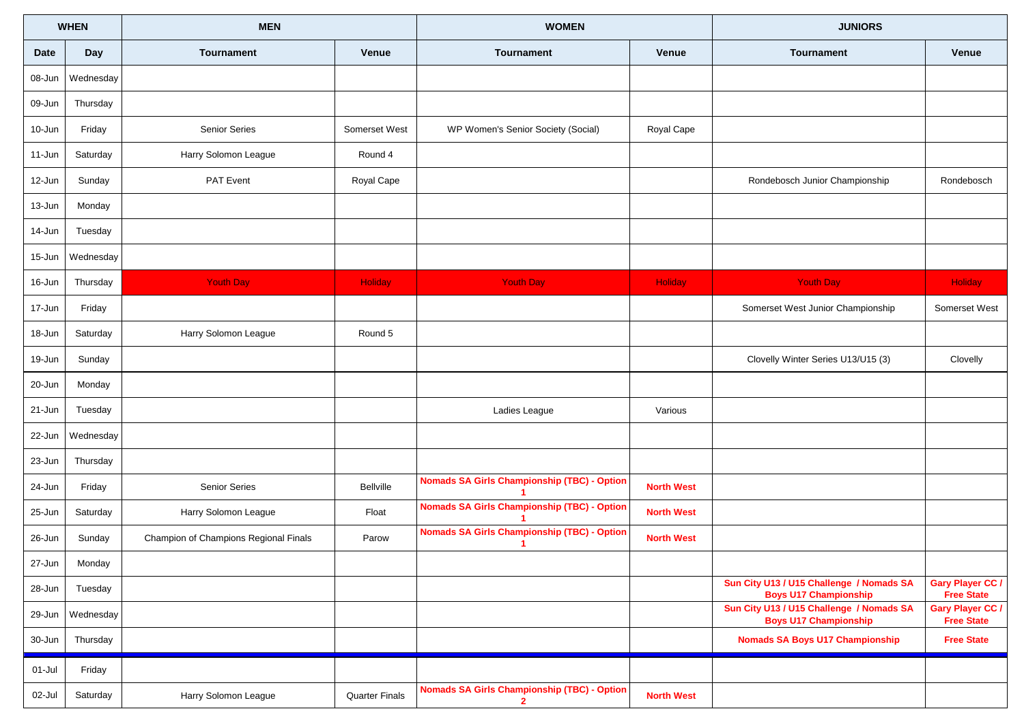|             | <b>WHEN</b> | <b>MEN</b>                            |                       | <b>WOMEN</b>                                                       |                   | <b>JUNIORS</b>                                                           |                                              |
|-------------|-------------|---------------------------------------|-----------------------|--------------------------------------------------------------------|-------------------|--------------------------------------------------------------------------|----------------------------------------------|
| <b>Date</b> | Day         | <b>Tournament</b>                     | <b>Venue</b>          | <b>Tournament</b>                                                  | Venue             | <b>Tournament</b>                                                        | Venue                                        |
| 08-Jun      | Wednesday   |                                       |                       |                                                                    |                   |                                                                          |                                              |
| 09-Jun      | Thursday    |                                       |                       |                                                                    |                   |                                                                          |                                              |
| 10-Jun      | Friday      | <b>Senior Series</b>                  | Somerset West         | WP Women's Senior Society (Social)                                 | Royal Cape        |                                                                          |                                              |
| 11-Jun      | Saturday    | Harry Solomon League                  | Round 4               |                                                                    |                   |                                                                          |                                              |
| 12-Jun      | Sunday      | <b>PAT Event</b>                      | Royal Cape            |                                                                    |                   | Rondebosch Junior Championship                                           | Rondebosch                                   |
| 13-Jun      | Monday      |                                       |                       |                                                                    |                   |                                                                          |                                              |
| 14-Jun      | Tuesday     |                                       |                       |                                                                    |                   |                                                                          |                                              |
| 15-Jun      | Wednesday   |                                       |                       |                                                                    |                   |                                                                          |                                              |
| 16-Jun      | Thursday    | <b>Youth Day</b>                      | Holiday               | <b>Youth Day</b>                                                   | Holiday           | <b>Youth Day</b>                                                         | Holiday                                      |
| 17-Jun      | Friday      |                                       |                       |                                                                    |                   | Somerset West Junior Championship                                        | Somerset West                                |
| 18-Jun      | Saturday    | Harry Solomon League                  | Round 5               |                                                                    |                   |                                                                          |                                              |
| 19-Jun      | Sunday      |                                       |                       |                                                                    |                   | Clovelly Winter Series U13/U15 (3)                                       | Clovelly                                     |
| 20-Jun      | Monday      |                                       |                       |                                                                    |                   |                                                                          |                                              |
| 21-Jun      | Tuesday     |                                       |                       | Ladies League                                                      | Various           |                                                                          |                                              |
| 22-Jun      | Wednesday   |                                       |                       |                                                                    |                   |                                                                          |                                              |
| 23-Jun      | Thursday    |                                       |                       |                                                                    |                   |                                                                          |                                              |
| 24-Jun      | Friday      | <b>Senior Series</b>                  | Bellville             | <b>Nomads SA Girls Championship (TBC) - Option</b>                 | <b>North West</b> |                                                                          |                                              |
| 25-Jun      | Saturday    | Harry Solomon League                  | Float                 | <b>Nomads SA Girls Championship (TBC) - Option</b>                 | <b>North West</b> |                                                                          |                                              |
| 26-Jun      | Sunday      | Champion of Champions Regional Finals | Parow                 | <b>Nomads SA Girls Championship (TBC) - Option</b>                 | <b>North West</b> |                                                                          |                                              |
| 27-Jun      | Monday      |                                       |                       |                                                                    |                   |                                                                          |                                              |
| 28-Jun      | Tuesday     |                                       |                       |                                                                    |                   | Sun City U13 / U15 Challenge / Nomads SA<br><b>Boys U17 Championship</b> | <b>Gary Player CC /</b><br><b>Free State</b> |
| 29-Jun      | Wednesday   |                                       |                       |                                                                    |                   | Sun City U13 / U15 Challenge / Nomads SA<br><b>Boys U17 Championship</b> | Gary Player CC /<br><b>Free State</b>        |
| 30-Jun      | Thursday    |                                       |                       |                                                                    |                   | <b>Nomads SA Boys U17 Championship</b>                                   | <b>Free State</b>                            |
| 01-Jul      | Friday      |                                       |                       |                                                                    |                   |                                                                          |                                              |
| 02-Jul      | Saturday    | Harry Solomon League                  | <b>Quarter Finals</b> | <b>Nomads SA Girls Championship (TBC) - Option</b><br>$\mathbf{2}$ | <b>North West</b> |                                                                          |                                              |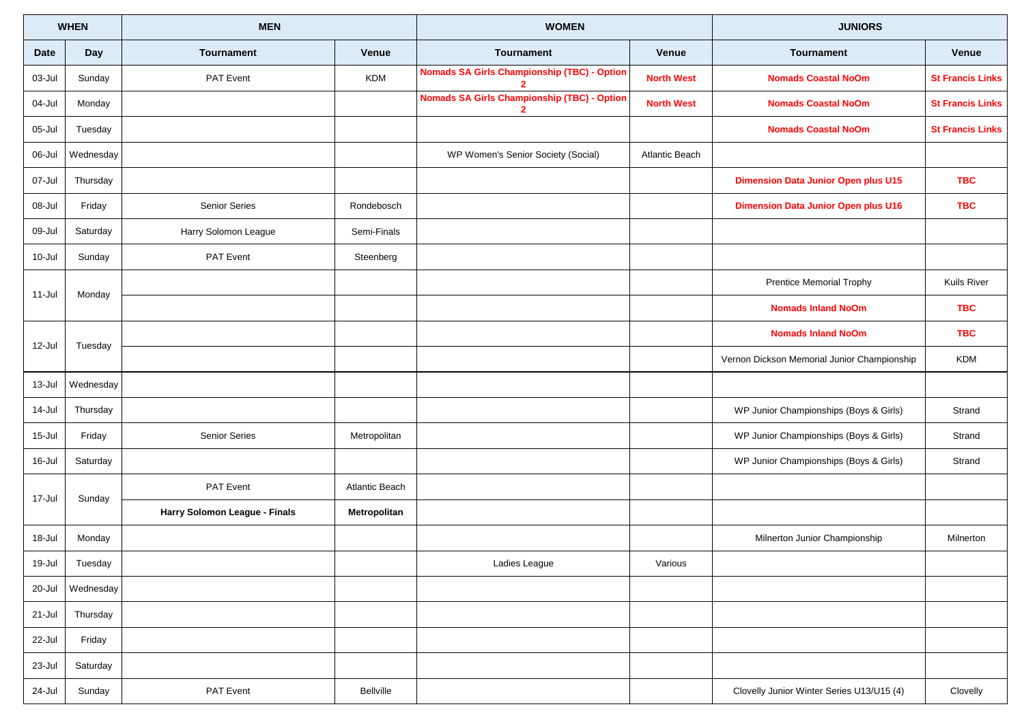|             | <b>WHEN</b> | <b>MEN</b>                    |                       | <b>WOMEN</b>                                                         |                   | <b>JUNIORS</b>                              |                         |
|-------------|-------------|-------------------------------|-----------------------|----------------------------------------------------------------------|-------------------|---------------------------------------------|-------------------------|
| <b>Date</b> | Day         | <b>Tournament</b>             | Venue                 | <b>Tournament</b>                                                    | Venue             | <b>Tournament</b>                           | Venue                   |
| 03-Jul      | Sunday      | PAT Event                     | KDM                   | <b>Nomads SA Girls Championship (TBC) - Option</b>                   | <b>North West</b> | <b>Nomads Coastal NoOm</b>                  | <b>St Francis Links</b> |
| 04-Jul      | Monday      |                               |                       | <b>Nomads SA Girls Championship (TBC) - Option</b><br>$\overline{2}$ | <b>North West</b> | <b>Nomads Coastal NoOm</b>                  | <b>St Francis Links</b> |
| 05-Jul      | Tuesday     |                               |                       |                                                                      |                   | <b>Nomads Coastal NoOm</b>                  | <b>St Francis Links</b> |
| 06-Jul      | Wednesday   |                               |                       | WP Women's Senior Society (Social)                                   | Atlantic Beach    |                                             |                         |
| 07-Jul      | Thursday    |                               |                       |                                                                      |                   | <b>Dimension Data Junior Open plus U15</b>  | <b>TBC</b>              |
| 08-Jul      | Friday      | Senior Series                 | Rondebosch            |                                                                      |                   | <b>Dimension Data Junior Open plus U16</b>  | <b>TBC</b>              |
| 09-Jul      | Saturday    | Harry Solomon League          | Semi-Finals           |                                                                      |                   |                                             |                         |
| 10-Jul      | Sunday      | PAT Event                     | Steenberg             |                                                                      |                   |                                             |                         |
| 11-Jul      | Monday      |                               |                       |                                                                      |                   | <b>Prentice Memorial Trophy</b>             | Kuils River             |
|             |             |                               |                       |                                                                      |                   | <b>Nomads Inland NoOm</b>                   | <b>TBC</b>              |
| 12-Jul      | Tuesday     |                               |                       |                                                                      |                   | <b>Nomads Inland NoOm</b>                   | <b>TBC</b>              |
|             |             |                               |                       |                                                                      |                   | Vernon Dickson Memorial Junior Championship | <b>KDM</b>              |
| 13-Jul      | Wednesday   |                               |                       |                                                                      |                   |                                             |                         |
| 14-Jul      | Thursday    |                               |                       |                                                                      |                   | WP Junior Championships (Boys & Girls)      | Strand                  |
| 15-Jul      | Friday      | <b>Senior Series</b>          | Metropolitan          |                                                                      |                   | WP Junior Championships (Boys & Girls)      | Strand                  |
| 16-Jul      | Saturday    |                               |                       |                                                                      |                   | WP Junior Championships (Boys & Girls)      | Strand                  |
| 17-Jul      | Sunday      | PAT Event                     | <b>Atlantic Beach</b> |                                                                      |                   |                                             |                         |
|             |             | Harry Solomon League - Finals | Metropolitan          |                                                                      |                   |                                             |                         |
| 18-Jul      | Monday      |                               |                       |                                                                      |                   | Milnerton Junior Championship               | Milnerton               |
| 19-Jul      | Tuesday     |                               |                       | Ladies League                                                        | Various           |                                             |                         |
| 20-Jul      | Wednesday   |                               |                       |                                                                      |                   |                                             |                         |
| 21-Jul      | Thursday    |                               |                       |                                                                      |                   |                                             |                         |
| 22-Jul      | Friday      |                               |                       |                                                                      |                   |                                             |                         |
| 23-Jul      | Saturday    |                               |                       |                                                                      |                   |                                             |                         |
| 24-Jul      | Sunday      | PAT Event                     | Bellville             |                                                                      |                   | Clovelly Junior Winter Series U13/U15 (4)   | Clovelly                |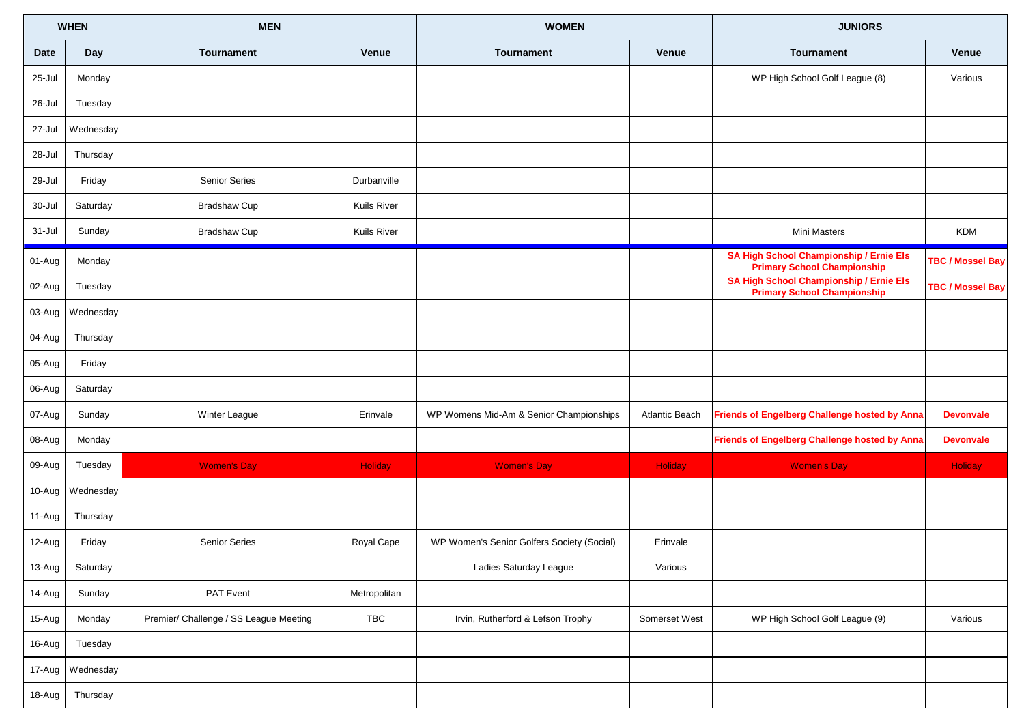|             | <b>WHEN</b>      | <b>MEN</b>                             |              | <b>WOMEN</b>                               |                | <b>JUNIORS</b>                                                                       |                         |
|-------------|------------------|----------------------------------------|--------------|--------------------------------------------|----------------|--------------------------------------------------------------------------------------|-------------------------|
| <b>Date</b> | <b>Day</b>       | <b>Tournament</b>                      | Venue        | <b>Tournament</b>                          | Venue          | <b>Tournament</b>                                                                    | Venue                   |
| 25-Jul      | Monday           |                                        |              |                                            |                | WP High School Golf League (8)                                                       | Various                 |
| 26-Jul      | Tuesday          |                                        |              |                                            |                |                                                                                      |                         |
| 27-Jul      | Wednesday        |                                        |              |                                            |                |                                                                                      |                         |
| 28-Jul      | Thursday         |                                        |              |                                            |                |                                                                                      |                         |
| 29-Jul      | Friday           | Senior Series                          | Durbanville  |                                            |                |                                                                                      |                         |
| 30-Jul      | Saturday         | <b>Bradshaw Cup</b>                    | Kuils River  |                                            |                |                                                                                      |                         |
| 31-Jul      | Sunday           | <b>Bradshaw Cup</b>                    | Kuils River  |                                            |                | Mini Masters                                                                         | <b>KDM</b>              |
| 01-Aug      | Monday           |                                        |              |                                            |                | <b>SA High School Championship / Ernie Els</b><br><b>Primary School Championship</b> | <b>TBC / Mossel Bay</b> |
| 02-Aug      | Tuesday          |                                        |              |                                            |                | <b>SA High School Championship / Ernie Els</b><br><b>Primary School Championship</b> | <b>TBC / Mossel Bay</b> |
| 03-Aug      | Wednesday        |                                        |              |                                            |                |                                                                                      |                         |
| 04-Aug      | Thursday         |                                        |              |                                            |                |                                                                                      |                         |
| 05-Aug      | Friday           |                                        |              |                                            |                |                                                                                      |                         |
| 06-Aug      | Saturday         |                                        |              |                                            |                |                                                                                      |                         |
| 07-Aug      | Sunday           | Winter League                          | Erinvale     | WP Womens Mid-Am & Senior Championships    | Atlantic Beach | Friends of Engelberg Challenge hosted by Anna                                        | <b>Devonvale</b>        |
| 08-Aug      | Monday           |                                        |              |                                            |                | Friends of Engelberg Challenge hosted by Anna                                        | <b>Devonvale</b>        |
| 09-Aug      | Tuesday          | <b>Women's Day</b>                     | Holiday      | <b>Women's Day</b>                         | Holiday        | <b>Women's Day</b>                                                                   | Holiday                 |
| 10-Aug      | Wednesday        |                                        |              |                                            |                |                                                                                      |                         |
| 11-Aug      | Thursday         |                                        |              |                                            |                |                                                                                      |                         |
| 12-Aug      | Friday           | Senior Series                          | Royal Cape   | WP Women's Senior Golfers Society (Social) | Erinvale       |                                                                                      |                         |
| 13-Aug      | Saturday         |                                        |              | Ladies Saturday League                     | Various        |                                                                                      |                         |
| 14-Aug      | Sunday           | PAT Event                              | Metropolitan |                                            |                |                                                                                      |                         |
| 15-Aug      | Monday           | Premier/ Challenge / SS League Meeting | TBC          | Irvin, Rutherford & Lefson Trophy          | Somerset West  | WP High School Golf League (9)                                                       | Various                 |
| 16-Aug      | Tuesday          |                                        |              |                                            |                |                                                                                      |                         |
|             | 17-Aug Wednesday |                                        |              |                                            |                |                                                                                      |                         |
| 18-Aug      | Thursday         |                                        |              |                                            |                |                                                                                      |                         |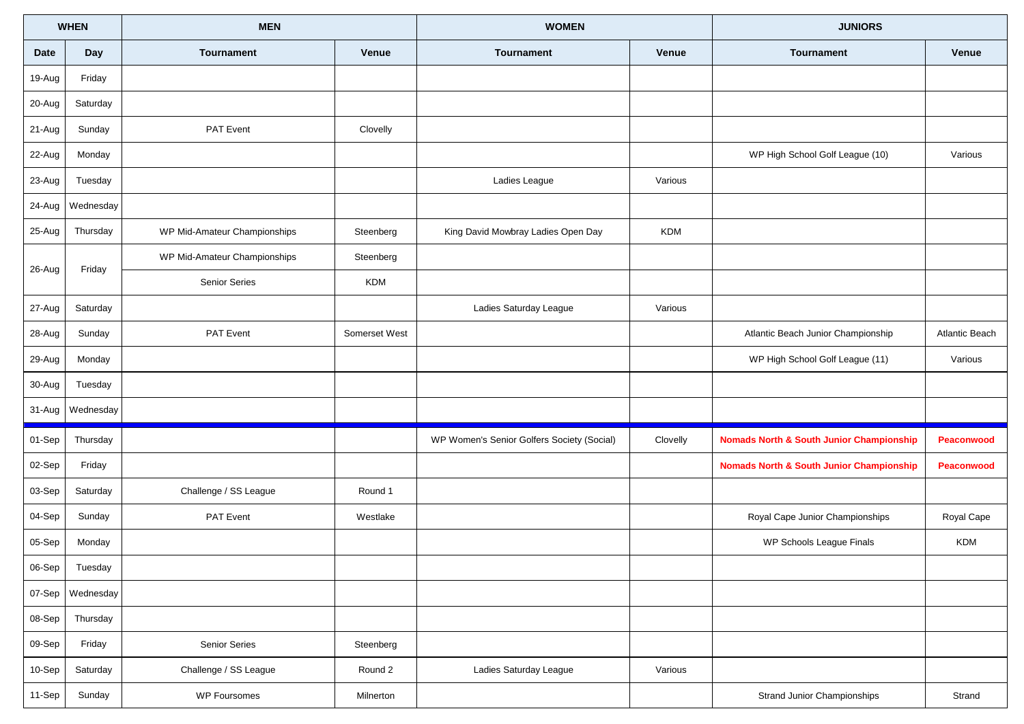| <b>WHEN</b> |           | <b>MEN</b>                   |               | <b>WOMEN</b>                               |            | <b>JUNIORS</b>                                      |                       |
|-------------|-----------|------------------------------|---------------|--------------------------------------------|------------|-----------------------------------------------------|-----------------------|
| Date        | Day       | <b>Tournament</b>            | Venue         | <b>Tournament</b>                          | Venue      | <b>Tournament</b>                                   | Venue                 |
| 19-Aug      | Friday    |                              |               |                                            |            |                                                     |                       |
| 20-Aug      | Saturday  |                              |               |                                            |            |                                                     |                       |
| 21-Aug      | Sunday    | PAT Event                    | Clovelly      |                                            |            |                                                     |                       |
| 22-Aug      | Monday    |                              |               |                                            |            | WP High School Golf League (10)                     | Various               |
| 23-Aug      | Tuesday   |                              |               | Ladies League                              | Various    |                                                     |                       |
| 24-Aug      | Wednesday |                              |               |                                            |            |                                                     |                       |
| 25-Aug      | Thursday  | WP Mid-Amateur Championships | Steenberg     | King David Mowbray Ladies Open Day         | <b>KDM</b> |                                                     |                       |
| 26-Aug      | Friday    | WP Mid-Amateur Championships | Steenberg     |                                            |            |                                                     |                       |
|             |           | Senior Series                | <b>KDM</b>    |                                            |            |                                                     |                       |
| 27-Aug      | Saturday  |                              |               | Ladies Saturday League                     | Various    |                                                     |                       |
| 28-Aug      | Sunday    | PAT Event                    | Somerset West |                                            |            | Atlantic Beach Junior Championship                  | <b>Atlantic Beach</b> |
| 29-Aug      | Monday    |                              |               |                                            |            | WP High School Golf League (11)                     | Various               |
| 30-Aug      | Tuesday   |                              |               |                                            |            |                                                     |                       |
| 31-Aug      | Wednesday |                              |               |                                            |            |                                                     |                       |
| 01-Sep      | Thursday  |                              |               | WP Women's Senior Golfers Society (Social) | Clovelly   | <b>Nomads North &amp; South Junior Championship</b> | Peaconwood            |
| 02-Sep      | Friday    |                              |               |                                            |            | <b>Nomads North &amp; South Junior Championship</b> | Peaconwood            |
| 03-Sep      | Saturday  | Challenge / SS League        | Round 1       |                                            |            |                                                     |                       |
| 04-Sep      | Sunday    | <b>PAT Event</b>             | Westlake      |                                            |            | Royal Cape Junior Championships                     | Royal Cape            |
| 05-Sep      | Monday    |                              |               |                                            |            | WP Schools League Finals                            | KDM                   |
| 06-Sep      | Tuesday   |                              |               |                                            |            |                                                     |                       |
| 07-Sep      | Wednesday |                              |               |                                            |            |                                                     |                       |
| 08-Sep      | Thursday  |                              |               |                                            |            |                                                     |                       |
| 09-Sep      | Friday    | Senior Series                | Steenberg     |                                            |            |                                                     |                       |
| 10-Sep      | Saturday  | Challenge / SS League        | Round 2       | Ladies Saturday League                     | Various    |                                                     |                       |
| 11-Sep      | Sunday    | <b>WP Foursomes</b>          | Milnerton     |                                            |            | Strand Junior Championships                         | Strand                |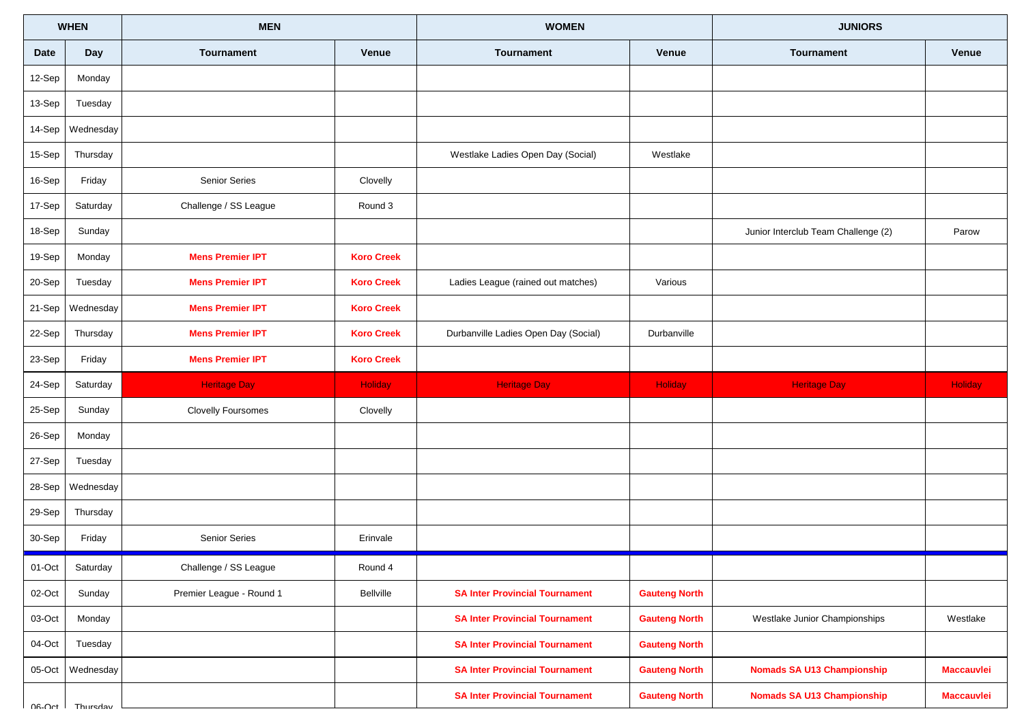|         | <b>WHEN</b>              | <b>MEN</b>                            |                   | <b>WOMEN</b>                          |                      | <b>JUNIORS</b>                      |                   |
|---------|--------------------------|---------------------------------------|-------------------|---------------------------------------|----------------------|-------------------------------------|-------------------|
| Date    | Day                      | <b>Tournament</b>                     | <b>Venue</b>      | Tournament                            | <b>Venue</b>         | <b>Tournament</b>                   | Venue             |
| 12-Sep  | Monday                   |                                       |                   |                                       |                      |                                     |                   |
| 13-Sep  | Tuesday                  |                                       |                   |                                       |                      |                                     |                   |
| 14-Sep  | Wednesday                |                                       |                   |                                       |                      |                                     |                   |
| 15-Sep  | Thursday                 |                                       |                   | Westlake Ladies Open Day (Social)     | Westlake             |                                     |                   |
| 16-Sep  | Friday                   | <b>Senior Series</b>                  | Clovelly          |                                       |                      |                                     |                   |
| 17-Sep  | Saturday                 | Challenge / SS League                 | Round 3           |                                       |                      |                                     |                   |
| 18-Sep  | Sunday                   |                                       |                   |                                       |                      | Junior Interclub Team Challenge (2) | Parow             |
| 19-Sep  | Monday                   | <b>Mens Premier IPT</b>               | <b>Koro Creek</b> |                                       |                      |                                     |                   |
| 20-Sep  | Tuesday                  | <b>Mens Premier IPT</b>               | <b>Koro Creek</b> | Ladies League (rained out matches)    | Various              |                                     |                   |
| 21-Sep  | Wednesday                | <b>Mens Premier IPT</b>               | <b>Koro Creek</b> |                                       |                      |                                     |                   |
| 22-Sep  | Thursday                 | <b>Mens Premier IPT</b>               | <b>Koro Creek</b> | Durbanville Ladies Open Day (Social)  | Durbanville          |                                     |                   |
| 23-Sep  | Friday                   | <b>Mens Premier IPT</b>               | <b>Koro Creek</b> |                                       |                      |                                     |                   |
| 24-Sep  | Saturday                 | <b>Heritage Day</b>                   | <b>Holiday</b>    | <b>Heritage Day</b>                   | Holiday              | <b>Heritage Day</b>                 | Holiday           |
| 25-Sep  | Sunday                   | <b>Clovelly Foursomes</b>             | Clovelly          |                                       |                      |                                     |                   |
| 26-Sep  | Monday                   |                                       |                   |                                       |                      |                                     |                   |
| 27-Sep  | Tuesday                  |                                       |                   |                                       |                      |                                     |                   |
| 28-Sep  | Wednesday                |                                       |                   |                                       |                      |                                     |                   |
| 29-Sep  | Thursday                 |                                       |                   |                                       |                      |                                     |                   |
| 30-Sep  | Friday                   | Senior Series                         | Erinvale          |                                       |                      |                                     |                   |
| 01-Oct  | $\mathbf{I}$<br>Saturday | $\mathbf{I}$<br>Challenge / SS League | Round 4           |                                       |                      |                                     |                   |
| 02-Oct  | Sunday                   | Premier League - Round 1              | Bellville         | <b>SA Inter Provincial Tournament</b> | <b>Gauteng North</b> |                                     |                   |
| 03-Oct  | Monday                   |                                       |                   | <b>SA Inter Provincial Tournament</b> | <b>Gauteng North</b> | Westlake Junior Championships       | Westlake          |
| 04-Oct  | Tuesday                  |                                       |                   | <b>SA Inter Provincial Tournament</b> | <b>Gauteng North</b> |                                     |                   |
| 05-Oct  | Wednesday                |                                       |                   | <b>SA Inter Provincial Tournament</b> | <b>Gauteng North</b> | <b>Nomads SA U13 Championship</b>   | <b>Maccauvlei</b> |
| $n_{A}$ | Thureday                 |                                       |                   | <b>SA Inter Provincial Tournament</b> | <b>Gauteng North</b> | <b>Nomads SA U13 Championship</b>   | <b>Maccauvlei</b> |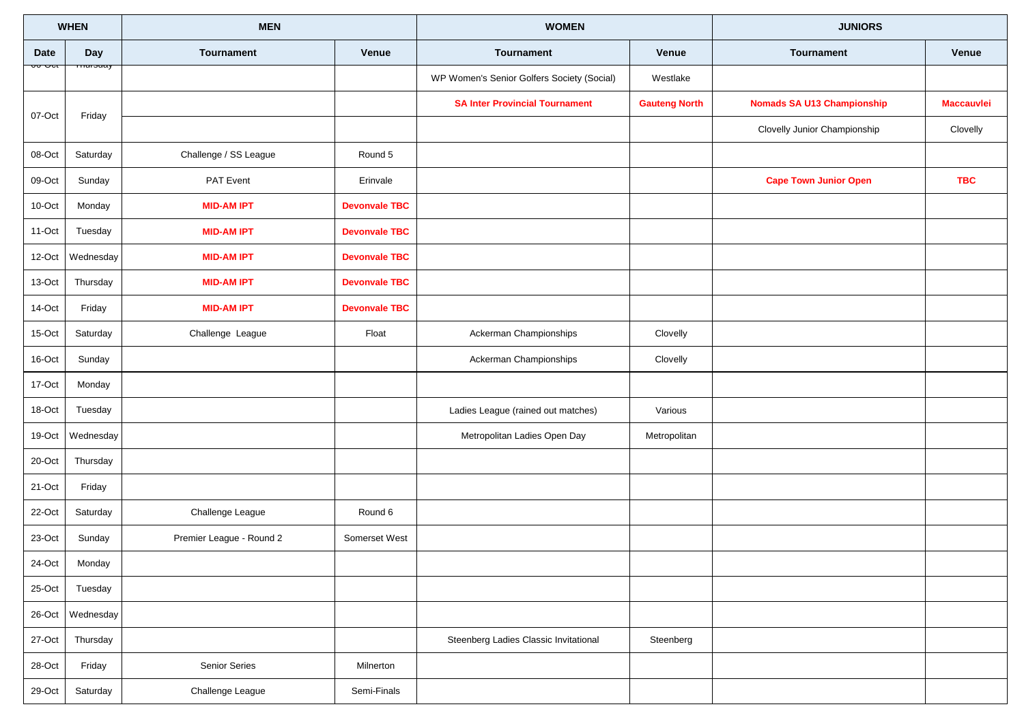| <b>WHEN</b> |           | <b>MEN</b>               |                      | <b>WOMEN</b>                               |                      | <b>JUNIORS</b>                    |                   |
|-------------|-----------|--------------------------|----------------------|--------------------------------------------|----------------------|-----------------------------------|-------------------|
| <b>Date</b> | Day       | <b>Tournament</b>        | Venue                | <b>Tournament</b>                          | Venue                | <b>Tournament</b>                 | Venue             |
|             |           |                          |                      | WP Women's Senior Golfers Society (Social) | Westlake             |                                   |                   |
| 07-Oct      | Friday    |                          |                      | <b>SA Inter Provincial Tournament</b>      | <b>Gauteng North</b> | <b>Nomads SA U13 Championship</b> | <b>Maccauvlei</b> |
|             |           |                          |                      |                                            |                      | Clovelly Junior Championship      | Clovelly          |
| 08-Oct      | Saturday  | Challenge / SS League    | Round 5              |                                            |                      |                                   |                   |
| 09-Oct      | Sunday    | PAT Event                | Erinvale             |                                            |                      | <b>Cape Town Junior Open</b>      | <b>TBC</b>        |
| 10-Oct      | Monday    | <b>MID-AM IPT</b>        | <b>Devonvale TBC</b> |                                            |                      |                                   |                   |
| 11-Oct      | Tuesday   | <b>MID-AM IPT</b>        | <b>Devonvale TBC</b> |                                            |                      |                                   |                   |
| 12-Oct      | Wednesday | <b>MID-AM IPT</b>        | <b>Devonvale TBC</b> |                                            |                      |                                   |                   |
| 13-Oct      | Thursday  | <b>MID-AM IPT</b>        | <b>Devonvale TBC</b> |                                            |                      |                                   |                   |
| 14-Oct      | Friday    | <b>MID-AM IPT</b>        | <b>Devonvale TBC</b> |                                            |                      |                                   |                   |
| 15-Oct      | Saturday  | Challenge League         | Float                | Ackerman Championships                     | Clovelly             |                                   |                   |
| 16-Oct      | Sunday    |                          |                      | Ackerman Championships                     | Clovelly             |                                   |                   |
| 17-Oct      | Monday    |                          |                      |                                            |                      |                                   |                   |
| 18-Oct      | Tuesday   |                          |                      | Ladies League (rained out matches)         | Various              |                                   |                   |
| 19-Oct      | Wednesday |                          |                      | Metropolitan Ladies Open Day               | Metropolitan         |                                   |                   |
| 20-Oct      | Thursday  |                          |                      |                                            |                      |                                   |                   |
| 21-Oct      | Friday    |                          |                      |                                            |                      |                                   |                   |
| 22-Oct      | Saturday  | Challenge League         | Round 6              |                                            |                      |                                   |                   |
| 23-Oct      | Sunday    | Premier League - Round 2 | Somerset West        |                                            |                      |                                   |                   |
| 24-Oct      | Monday    |                          |                      |                                            |                      |                                   |                   |
| $25$ -Oct   | Tuesday   |                          |                      |                                            |                      |                                   |                   |
| 26-Oct      | Wednesday |                          |                      |                                            |                      |                                   |                   |
| 27-Oct      | Thursday  |                          |                      | Steenberg Ladies Classic Invitational      | Steenberg            |                                   |                   |
| $28$ -Oct   | Friday    | Senior Series            | Milnerton            |                                            |                      |                                   |                   |
| $29$ -Oct   | Saturday  | Challenge League         | Semi-Finals          |                                            |                      |                                   |                   |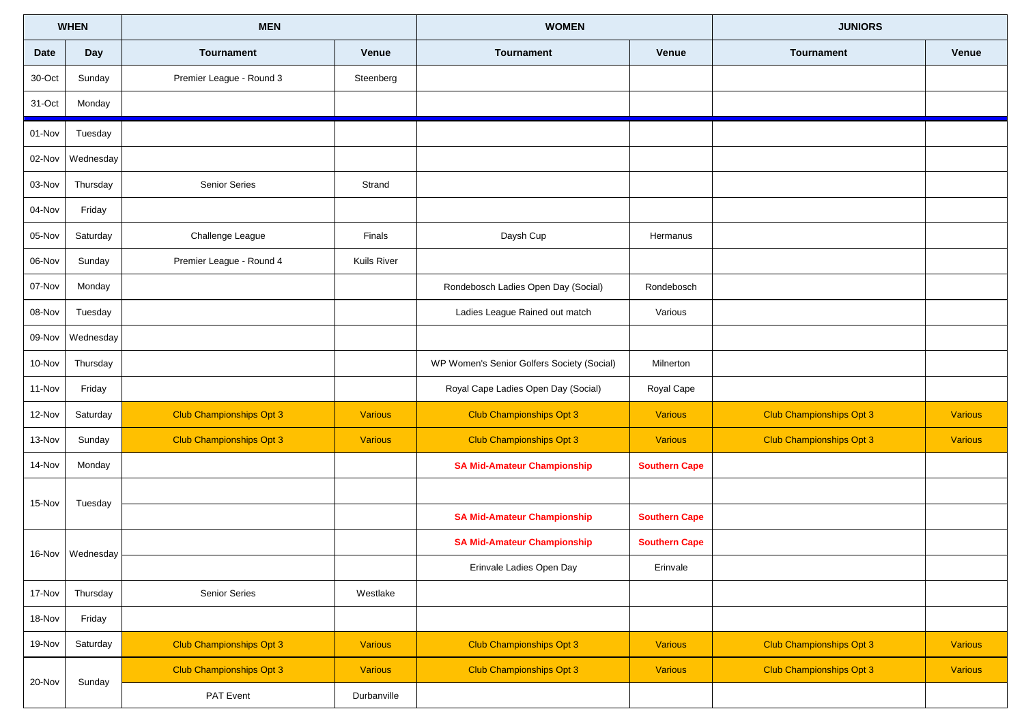| <b>WHEN</b> |                  | <b>MEN</b>                      |                | <b>WOMEN</b>                               |                      | <b>JUNIORS</b>                  |                |
|-------------|------------------|---------------------------------|----------------|--------------------------------------------|----------------------|---------------------------------|----------------|
| <b>Date</b> | Day              | Tournament                      | <b>Venue</b>   | <b>Tournament</b>                          | Venue                | <b>Tournament</b>               | Venue          |
| 30-Oct      | Sunday           | Premier League - Round 3        | Steenberg      |                                            |                      |                                 |                |
| 31-Oct      | Monday           |                                 |                |                                            |                      |                                 |                |
| 01-Nov      | Tuesday          |                                 |                |                                            |                      |                                 |                |
| 02-Nov      | Wednesday        |                                 |                |                                            |                      |                                 |                |
| 03-Nov      | Thursday         | Senior Series                   | Strand         |                                            |                      |                                 |                |
| 04-Nov      | Friday           |                                 |                |                                            |                      |                                 |                |
| 05-Nov      | Saturday         | Challenge League                | Finals         | Daysh Cup                                  | Hermanus             |                                 |                |
| 06-Nov      | Sunday           | Premier League - Round 4        | Kuils River    |                                            |                      |                                 |                |
| 07-Nov      | Monday           |                                 |                | Rondebosch Ladies Open Day (Social)        | Rondebosch           |                                 |                |
| 08-Nov      | Tuesday          |                                 |                | Ladies League Rained out match             | Various              |                                 |                |
| 09-Nov      | Wednesday        |                                 |                |                                            |                      |                                 |                |
| 10-Nov      | Thursday         |                                 |                | WP Women's Senior Golfers Society (Social) | Milnerton            |                                 |                |
| 11-Nov      | Friday           |                                 |                | Royal Cape Ladies Open Day (Social)        | Royal Cape           |                                 |                |
| 12-Nov      | Saturday         | <b>Club Championships Opt 3</b> | Various        | <b>Club Championships Opt 3</b>            | <b>Various</b>       | <b>Club Championships Opt 3</b> | <b>Various</b> |
| 13-Nov      | Sunday           | <b>Club Championships Opt 3</b> | <b>Various</b> | <b>Club Championships Opt 3</b>            | <b>Various</b>       | <b>Club Championships Opt 3</b> | <b>Various</b> |
| 14-Nov      | Monday           |                                 |                | <b>SA Mid-Amateur Championship</b>         | <b>Southern Cape</b> |                                 |                |
| 15-Nov      | Tuesday          |                                 |                |                                            |                      |                                 |                |
|             |                  |                                 |                | <b>SA Mid-Amateur Championship</b>         | <b>Southern Cape</b> |                                 |                |
|             | 16-Nov Wednesday |                                 |                | <b>SA Mid-Amateur Championship</b>         | <b>Southern Cape</b> |                                 |                |
|             |                  |                                 |                | Erinvale Ladies Open Day                   | Erinvale             |                                 |                |
| 17-Nov      | Thursday         | Senior Series                   | Westlake       |                                            |                      |                                 |                |
| 18-Nov      | Friday           |                                 |                |                                            |                      |                                 |                |
| 19-Nov      | Saturday         | <b>Club Championships Opt 3</b> | Various        | <b>Club Championships Opt 3</b>            | <b>Various</b>       | <b>Club Championships Opt 3</b> | <b>Various</b> |
| 20-Nov      | Sunday           | <b>Club Championships Opt 3</b> | <b>Various</b> | <b>Club Championships Opt 3</b>            | <b>Various</b>       | <b>Club Championships Opt 3</b> | <b>Various</b> |
|             |                  | PAT Event                       | Durbanville    |                                            |                      |                                 |                |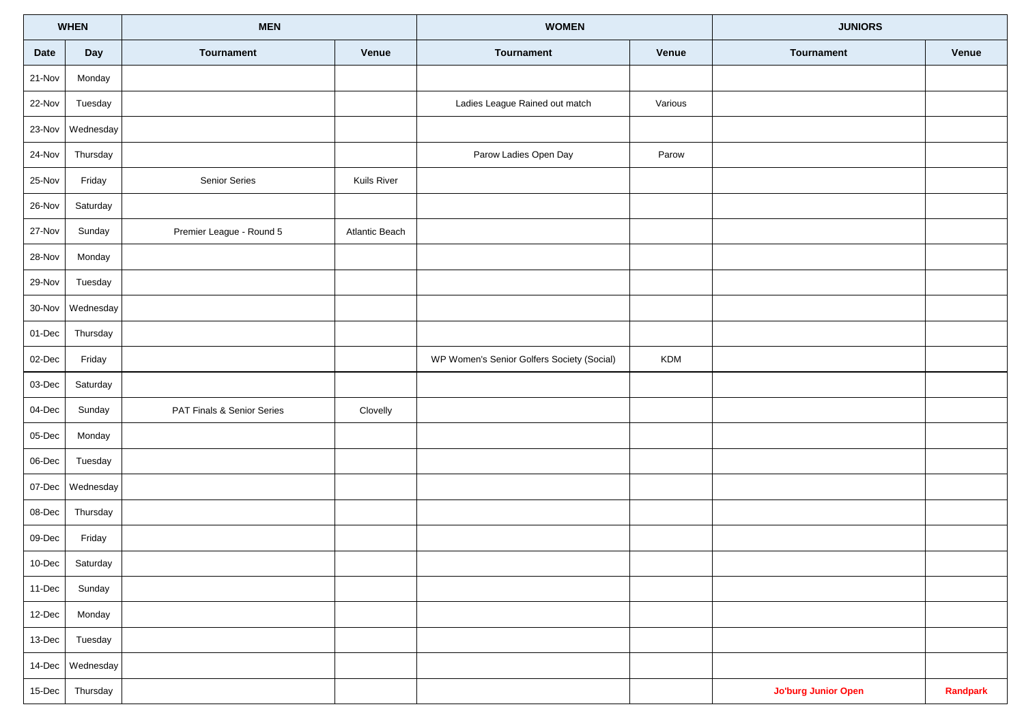| <b>WHEN</b> |                 | <b>MEN</b>                 |                       | <b>WOMEN</b>                               |            | <b>JUNIORS</b>             |          |
|-------------|-----------------|----------------------------|-----------------------|--------------------------------------------|------------|----------------------------|----------|
| Date        | Day             | Tournament                 | Venue                 | Tournament                                 | Venue      | Tournament                 | Venue    |
| 21-Nov      | Monday          |                            |                       |                                            |            |                            |          |
| 22-Nov      | Tuesday         |                            |                       | Ladies League Rained out match             | Various    |                            |          |
| 23-Nov      | Wednesday       |                            |                       |                                            |            |                            |          |
| 24-Nov      | Thursday        |                            |                       | Parow Ladies Open Day                      | Parow      |                            |          |
| 25-Nov      | Friday          | Senior Series              | Kuils River           |                                            |            |                            |          |
| 26-Nov      | Saturday        |                            |                       |                                            |            |                            |          |
| 27-Nov      | Sunday          | Premier League - Round 5   | <b>Atlantic Beach</b> |                                            |            |                            |          |
| 28-Nov      | Monday          |                            |                       |                                            |            |                            |          |
| 29-Nov      | Tuesday         |                            |                       |                                            |            |                            |          |
| 30-Nov      | Wednesday       |                            |                       |                                            |            |                            |          |
| 01-Dec      | Thursday        |                            |                       |                                            |            |                            |          |
| 02-Dec      | Friday          |                            |                       | WP Women's Senior Golfers Society (Social) | <b>KDM</b> |                            |          |
| 03-Dec      | Saturday        |                            |                       |                                            |            |                            |          |
| 04-Dec      | Sunday          | PAT Finals & Senior Series | Clovelly              |                                            |            |                            |          |
| 05-Dec      | Monday          |                            |                       |                                            |            |                            |          |
| 06-Dec      | Tuesday         |                            |                       |                                            |            |                            |          |
| 07-Dec      | Wednesday       |                            |                       |                                            |            |                            |          |
| 08-Dec      | Thursday        |                            |                       |                                            |            |                            |          |
| 09-Dec      | Friday          |                            |                       |                                            |            |                            |          |
|             | 10-Dec Saturday |                            |                       |                                            |            |                            |          |
| 11-Dec      | Sunday          |                            |                       |                                            |            |                            |          |
| 12-Dec      | Monday          |                            |                       |                                            |            |                            |          |
| 13-Dec      | Tuesday         |                            |                       |                                            |            |                            |          |
| 14-Dec      | Wednesday       |                            |                       |                                            |            |                            |          |
| 15-Dec      | Thursday        |                            |                       |                                            |            | <b>Jo'burg Junior Open</b> | Randpark |